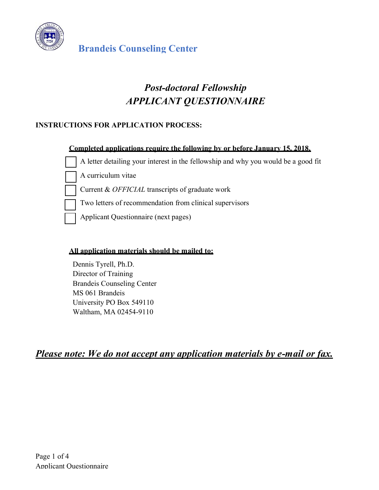

# *Post-doctoral Fellowship APPLICANT QUESTIONNAIRE*

## **INSTRUCTIONS FOR APPLICATION PROCESS:**

#### **Completed applications require the following by or before January 15, 2018.**

A letter detailing your interest in the fellowship and why you would be a good fit

A curriculum vitae

Current & *OFFICIAL* transcripts of graduate work

Two letters of recommendation from clinical supervisors

Applicant Questionnaire (next pages)

#### **All application materials should be mailed to:**

Dennis Tyrell, Ph.D. Director of Training Brandeis Counseling Center MS 061 Brandeis University PO Box 549110 Waltham, MA 02454-9110

*Please note: We do not accept any application materials by e-mail or fax.*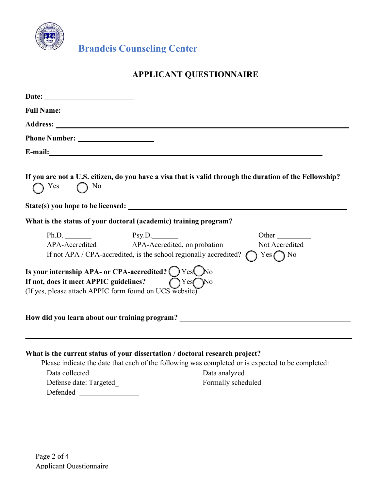

**Brandeis Counseling Center**

## **APPLICANT QUESTIONNAIRE**

| <b>Phone Number:</b> The Mumber:       |                                                                                                                                                                                             |
|----------------------------------------|---------------------------------------------------------------------------------------------------------------------------------------------------------------------------------------------|
|                                        | E-mail: <u>E-mail:</u>                                                                                                                                                                      |
| $\bigcap$ Yes<br>$\bigcap$ No          | If you are not a U.S. citizen, do you have a visa that is valid through the duration of the Fellowship?                                                                                     |
|                                        |                                                                                                                                                                                             |
|                                        | What is the status of your doctoral (academic) training program?                                                                                                                            |
|                                        | $Ph.D.$ $Psy.D.$<br>Other<br>APA-Accredited _______ APA-Accredited, on probation<br>Not Accredited<br>If not APA / CPA-accredited, is the school regionally accredited?<br>$Yes \bigcap No$ |
| If not, does it meet APPIC guidelines? | Is your internship APA- or CPA-accredited? $\bigcirc$ Yes $\bigcirc$ No<br>$\bigcap$ Yes $\bigcap$ No<br>(If yes, please attach APPIC form found on UCS website)                            |
|                                        | How did you learn about our training program? ___________________________________                                                                                                           |
|                                        | What is the current status of your dissertation / doctoral research project?                                                                                                                |
|                                        | Please indicate the date that each of the following was completed or is expected to be completed:                                                                                           |
| Data collected                         | Data analyzed<br><u> 1980 - Jan Barbara Barat, prima politik (</u>                                                                                                                          |
| Defense date: Targeted                 |                                                                                                                                                                                             |
| Defended                               |                                                                                                                                                                                             |